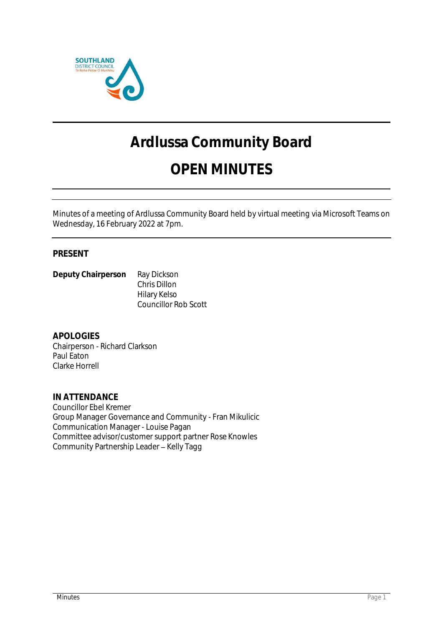

# **Ardlussa Community Board**

# **OPEN MINUTES**

Minutes of a meeting of Ardlussa Community Board held by virtual meeting via Microsoft Teams on Wednesday, 16 February 2022 at 7pm.

# **PRESENT**

**Deputy Chairperson** Ray Dickson Chris Dillon Hilary Kelso Councillor Rob Scott

**APOLOGIES** Chairperson - Richard Clarkson Paul Eaton Clarke Horrell

**IN ATTENDANCE** Councillor Ebel Kremer Group Manager Governance and Community - Fran Mikulicic Communication Manager - Louise Pagan Committee advisor/customer support partner Rose Knowles Community Partnership Leader - Kelly Tagg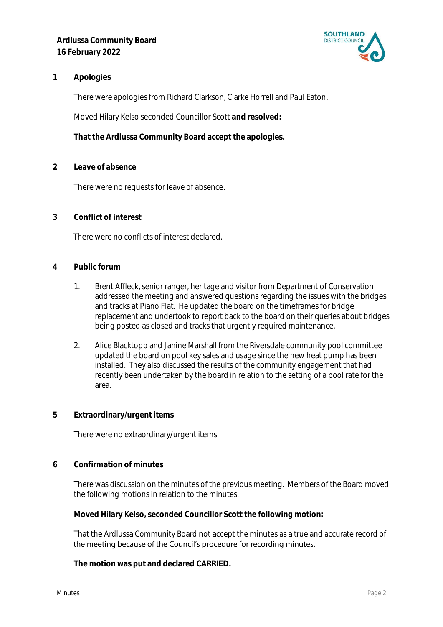

### **1 Apologies**

There were apologies from Richard Clarkson, Clarke Horrell and Paul Eaton.

Moved Hilary Kelso seconded Councillor Scott **and resolved:**

**That the Ardlussa Community Board accept the apologies.**

**2 Leave of absence** 

There were no requests for leave of absence.

**3 Conflict of interest**

There were no conflicts of interest declared.

- **4 Public forum**
	- 1. Brent Affleck, senior ranger, heritage and visitor from Department of Conservation addressed the meeting and answered questions regarding the issues with the bridges and tracks at Piano Flat. He updated the board on the timeframes for bridge replacement and undertook to report back to the board on their queries about bridges being posted as closed and tracks that urgently required maintenance.
	- 2. Alice Blacktopp and Janine Marshall from the Riversdale community pool committee updated the board on pool key sales and usage since the new heat pump has been installed. They also discussed the results of the community engagement that had recently been undertaken by the board in relation to the setting of a pool rate for the area.
- **5 Extraordinary/urgent items**

There were no extraordinary/urgent items.

**6 Confirmation of minutes**

There was discussion on the minutes of the previous meeting. Members of the Board moved the following motions in relation to the minutes.

**Moved Hilary Kelso, seconded Councillor Scott the following motion:**

That the Ardlussa Community Board not accept the minutes as a true and accurate record of the meeting because of the Council's procedure for recording minutes.

**The motion was put and declared CARRIED.**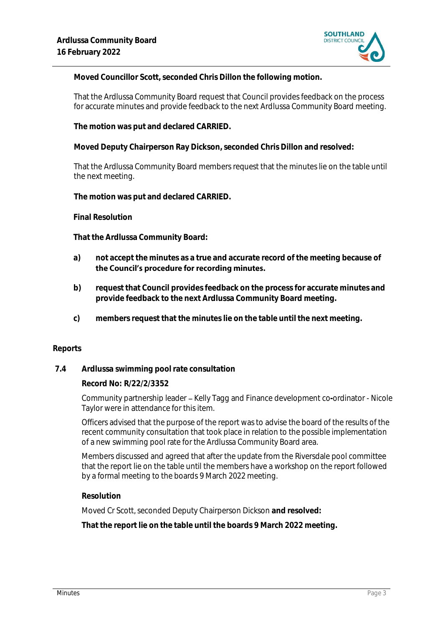

**Moved Councillor Scott, seconded Chris Dillon the following motion.**

That the Ardlussa Community Board request that Council provides feedback on the process for accurate minutes and provide feedback to the next Ardlussa Community Board meeting.

**The motion was put and declared CARRIED.**

**Moved Deputy Chairperson Ray Dickson, seconded Chris Dillon and resolved:**

That the Ardlussa Community Board members request that the minutes lie on the table until the next meeting.

**The motion was put and declared CARRIED.**

**Final Resolution**

**That the Ardlussa Community Board:**

- **a) not accept the minutes as a true and accurate record of the meeting because of**  the Council's procedure for recording minutes.
- **b) request that Council provides feedback on the process for accurate minutes and provide feedback to the next Ardlussa Community Board meeting.**
- **c) members request that the minutes lie on the table until the next meeting.**

#### **Reports**

#### **7.4 Ardlussa swimming pool rate consultation**

**Record No: R/22/2/3352**

Community partnership leader - Kelly Tagg and Finance development co-ordinator - Nicole Taylor were in attendance for this item.

Officers advised that the purpose of the report was to advise the board of the results of the recent community consultation that took place in relation to the possible implementation of a new swimming pool rate for the Ardlussa Community Board area.

Members discussed and agreed that after the update from the Riversdale pool committee that the report lie on the table until the members have a workshop on the report followed by a formal meeting to the boards 9 March 2022 meeting.

#### **Resolution**

Moved Cr Scott, seconded Deputy Chairperson Dickson **and resolved:**

**That the report lie on the table until the boards 9 March 2022 meeting.**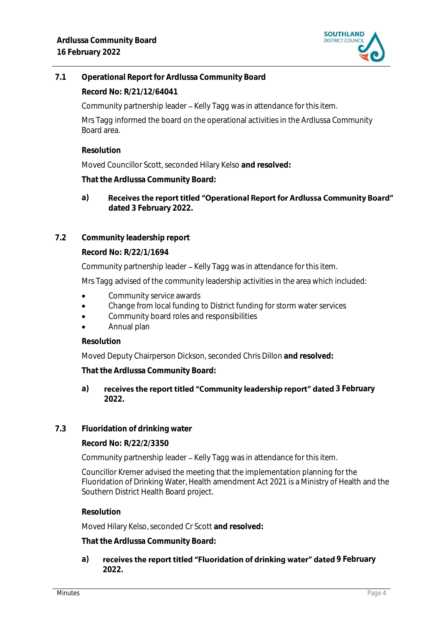

**7.1 Operational Report for Ardlussa Community Board**

**Record No: R/21/12/64041**

Community partnership leader - Kelly Tagg was in attendance for this item.

Mrs Tagg informed the board on the operational activities in the Ardlussa Community Board area.

**Resolution**

Moved Councillor Scott, seconded Hilary Kelso **and resolved:**

**That the Ardlussa Community Board:**

Receives the report titled "Operational Report for Ardlussa Community Board" **a) dated 3 February 2022.**

# **7.2 Community leadership report**

**Record No: R/22/1/1694**

Community partnership leader – Kelly Tagg was in attendance for this item.

Mrs Tagg advised of the community leadership activities in the area which included:

- Community service awards
- Change from local funding to District funding for storm water services
- Community board roles and responsibilities
- Annual plan

#### **Resolution**

Moved Deputy Chairperson Dickson, seconded Chris Dillon **and resolved:**

**That the Ardlussa Community Board:**

### a) **receives the report titled "Community leadership report" dated 3 February 2022.**

# **7.3 Fluoridation of drinking water**

**Record No: R/22/2/3350**

Community partnership leader – Kelly Tagg was in attendance for this item.

Councillor Kremer advised the meeting that the implementation planning for the Fluoridation of Drinking Water, Health amendment Act 2021 is a Ministry of Health and the Southern District Health Board project.

#### **Resolution**

Moved Hilary Kelso, seconded Cr Scott **and resolved:**

**That the Ardlussa Community Board:**

a) **receives the report titled "Fluoridation of drinking water" dated 9 February 2022.**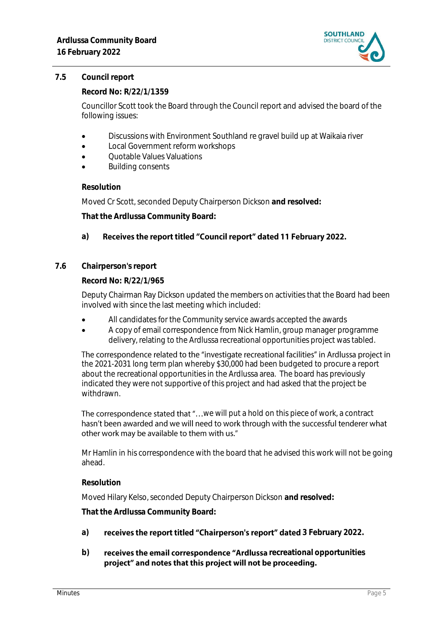

#### **7.5 Council report**

**Record No: R/22/1/1359**

Councillor Scott took the Board through the Council report and advised the board of the following issues:

- Discussions with Environment Southland re gravel build up at Waikaia river
- Local Government reform workshops
- Quotable Values Valuations
- Building consents

#### **Resolution**

Moved Cr Scott, seconded Deputy Chairperson Dickson **and resolved:**

**That the Ardlussa Community Board:**

#### **a)** Receives the report titled "Council report" dated 11 February 2022.

**7.6 Chairperson's report**

**Record No: R/22/1/965**

Deputy Chairman Ray Dickson updated the members on activities that the Board had been involved with since the last meeting which included:

- All candidates for the Community service awards accepted the awards
- A copy of email correspondence from Nick Hamlin, group manager programme delivery, relating to the Ardlussa recreational opportunities project was tabled.

The correspondence related to the "investigate recreational facilities" in Ardlussa project in the 2021-2031 long term plan whereby \$30,000 had been budgeted to procure a report about the recreational opportunities in the Ardlussa area. The board has previously indicated they were not supportive of this project and had asked that the project be withdrawn.

The correspondence stated that "...we will put a hold on this piece of work, a contract hasn't been awarded and we will need to work through with the successful tenderer what other work may be available to them with us."

Mr Hamlin in his correspondence with the board that he advised this work will not be going ahead.

#### **Resolution**

Moved Hilary Kelso, seconded Deputy Chairperson Dickson **and resolved:**

**That the Ardlussa Community Board:**

- a) **receives the report titled "Chairperson's report" dated 3 February 2022.**
- b) **receives the email correspondence "Ardlussa** recreational opportunities project" and notes that this project will not be proceeding.